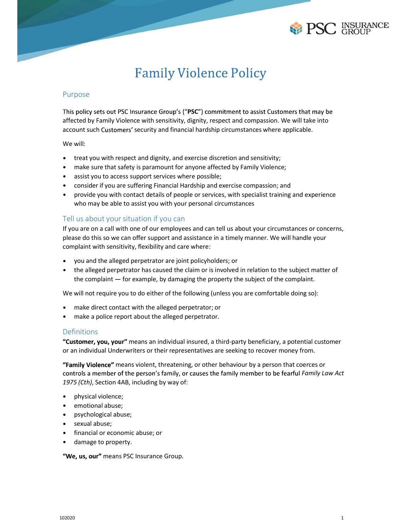

# Purpose

This policy sets out PSC Insurance Group's ("PSC") commitment to assist Customers that may be affected by Family Violence with sensitivity, dignity, respect and compassion. We will take into **EXECUTE SUPPOSE**<br> **EXECUTE SUPPOSE**<br>
Family Violence Policy<br>
Purpose<br>
This policy sets out PSC Insurance Group's ("PSC") commitment to assist Customers that may be<br>
affected by Family Violence with sensitivity, dignity, r Family Violence Policy<br>Purpose<br>This policy sets out PSC Insurance Group's ("PSC") commitment to assist Custome<br>affected by Family Violence with sensitivity, dignity, respect and compassion. We<br>account such Customers' secur Family Violence Policy<br>
Family Violence Policy<br>
pose<br>
policy sets out PSC Insurance Group's ("PSC") commitment to assist Customers that may be<br>
policy sets out PSC Insurance Group's ("PSC") commitment to assist Customers t **EXECUTE SURFANCE SURFANCE SURFANCE SURFANCE SURFANCE SURFANCE SURFANCE SURFANCE SURFANCE SURFANCE SURFANCE SURFANCE SURFANCE SURFANCE SURFANCE SURFANCE SURFANCE SURFANCE SURFANCE SURFANCE SURFANCE SURFANCE SURFANCE SURFAN** Family Violence Policy<br>
PSC GROUP<br>
PSC GROUP<br>
poise<br>
policy sets out PSC Insurance Group's ("PSC") commitment to assist Customers that may be<br>
reted by Family Violence with sensitivity, dignity, respect and compassion. We **EXECUTE FOR A SET ASSURANCE**<br> **EXECUTE CONSIDENTS**<br>
FROM THE SURVEY CONSIDE TO A SERVE TO A SERVE TO A SERVE TO A SURFAMPLE TO A SURFAMPLY VIOLATION WITHOUT A SURFAMPLE TO A SURFAMPLE TO A SURFAMPLE TO A SURFAMPLE TO A SU

- 
- 
- 
- 
- provide you with contact details of people or services, with specialist training and experience

Family Violence Policy<br>pose<br>policy est out PSC Insurance Group's ("PSC") commitment to assist Customers that may be<br>policy sets out PSC Insurance Group's ("PSC") commitment to assist Customers that may be<br>ted by Family Vio Family Violence Policy<br>
Purpose<br>
This policy sets out PSC Insurance Group's ("PSC") committent to assist Gustomers that may be<br>
affected by Family Violence with sensitivity, dignity, respect and compassion. We will take in If you are on a call with one of our employees and can tell us about your circumstances or concerns, please do this so we can offer support and assistance in a timely manner. We will handle your Purpose<br>
This policy sets out PSC Insurance Group's ("PSC") commitment to assist Customers that may be<br>
differeded by Family Violence with sensitivity, dignity, respect and compassion. We will take into<br>
account such Custo pose<br>policy sets out PSC insurance Group's ("PSC") commitment to assist Customers that may be<br>policy sets out PSC insurance Group's ("PSC") commitment to assist Customers in the avit<br>bunt such Customers' security and finan polity sets out PSC insurance Groupy s ("PSC") commitment to assist Customers that may be<br>pointed by Family Violence with sensitivity, dignity, respect and compassion. We will take into<br>unt such Customers' security and fin account such Customers' security and financial hardship circumstances where applicable.<br>
We will:<br>
• trattyou with respect and dignity, and exercise discretion and sensitivity;<br>
• make sure that safety is paramount for any will:<br>the at you with respect and dignity, and exercise discretion and sensitivity;<br>make sure that safety is paramount for anyone affected by Family Violence;<br>assist you to access support services where possible;<br>consider treat you with respect and dignity, and exercise discretion and sensitivity;<br>anake sure that safety is paramount for anyone affected by Family Violence;<br>assist you to access support services where possible;<br>consider if you • consider if you are suffering Financial Hardship and exercise compassion; and<br>• provide you with contact details of people or services, with specifials training and experience<br>Tell us about your situation if you can<br>The means of the means violent, threatening, or other behaviour by a personal changing and experience of the to assist you with your cero and ansistances or concerns, the can offer support and assist near in a the lus about yo Tell us about your situation if you can<br>
If you are on a cal with nee of our employees and can tell us about your circumstances or concerns,<br>
If you are on a cal with one of our employees and can tell us about your circums

- 
- the alleged perpetrator has caused the claim or is involved in relation to the subject matter of

- 
- 

# Definitions

"Customer, you, your" means an individual insured, a third-party beneficiary, a potential customer

or an individual Underwriters or their representatives are seeking to recover money from.<br>
"Famil**y Violence**" means violent, threatening, or other behaviour by a person that coerces or<br>
controls a member of the person's f controls a member of the person's family, or causes the family member to be fearful Family Law Act u are on a call with one of our employees and can tell us about your cricumstances or o<br>se do this iso we can offer support and assistance in a timely manner. We will handle y<br>inplaint with sensitivity, flexibility and car se co this so we can order support and assistance in a timely manner. we will nande you<br>plaint with sensitivity, flexibility and care where:<br>the alleged perpetrator ras caused the claim or is involved in relation to the su plannt with sensitivity, riexibility and care where:<br>the alleged perpetrator are joint policyholders; or<br>the alleged perpetrator has caused the claim or is involved in relation to the subject matter<br>the complaint — for exa you and the alleged perpetrator are joint policyholders; or<br>the alleged perpetrator has caused the claim or is involved in relation to the subject the complaint — for example, by damaging the property the subject of the co the alleged perpetrator has caused the claim or is involved in relation to the subject matter of<br>the complaint — for example, by damaging the property the subject of the complaint.<br>Will not require you to do either of the the complaint — for example, by damaging the property the subject of the complaint.<br>
will not require you to do either of the following (unless you are comfortable doing so):<br>
make direct contact with the alleged perpetrat quire you to do either of the following (unless you are comfortable doing so):<br>et contact with the alleged perpetrator; or<br>lice report about the alleged perpetrator.<br>**u., your**" means an individual insured, a third-party b

- 
- 
- 
- 
- 
-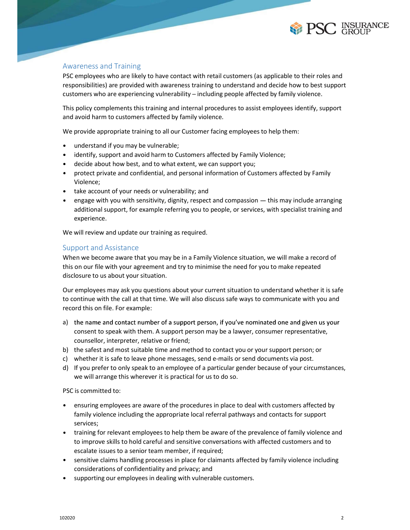

Awareness and Training<br>
PSC<br>
Awareness and Training<br>
PSC employees who are likely to have contact with retail customers (as applicable to their roles<br>
responsibilities) are provided with awareness training to understand an FREE THIS URBANCE<br>
Awareness and Training<br>
PSC employees who are likely to have contact with retail customers (as applicable to their roles and<br>
responsibilities) are provided with awareness training to understand and deci responsibilities) are provided with awareness training to understand and decide how to best support Experiences and Training<br>PSC employees who are likely to have contact with retail customers (as applicable to their roles and<br>responsibilities) are provided with awareness training to understand and decide how to best supp **EXECUTES:**<br>Awareness and Training<br>PSC employees who are likely to have contact with retail customers (as applicable to their roles and<br>responsibilities) are provided with awareness training to understand and decide how to **Example and Solution Solution**<br>
Awareness and Training<br>
PSC employees who are likely to have contact with retail customers (as applicable to their roles and<br>
responsibilities) are provided with awareness training to under **EXECT INSURATE ASSET ASSET ASSET ASSET ASSET ASSET AND THE SET AND THE SET AND THE SET AND THE SET AND THE SET AND THE SET AND THE SET AND THE SET AND THE SET AND THE SET AND THE SET AND THE SET AND THE SET AND THE SURVEY** Fracencess and Training<br>
remployees who are likely to have contact with retail customers (as applicable to their roles and<br>
consibilities) are provided with avareness training to understand and decide how to best support<br> **EXERVITY (SET ABOUT)**<br> **EXERVITY CONSUPSEANCE SET ASSET AND THE SET ASSET AND A SUPPOSE SET AND A SUPPOSE SET AND AN ONE SHOW ONE SHOW ONE SHOW ONE SHOW ONE SHOW ONE SHOW CONSUPPOSE SHOW**  $\alpha$  **per provide one support condi EXERVAL SET ASSET ASSET ASSET ASSET ASSET AND ASSET AND ASSET AND ASSET AND ASSET AND ANOTENT AND ASSET ASSET AND ANOTHER PROPRETOR IN A CONTINUITY INTERFERIAL CONTINUITY INTERFERIAL CULTURE THE PROPRETOR WIND ARE experie** Awareness and Training<br>
experiments and Training to understand and decide how to best support<br>
PSC employees who are likely to have contact with retail customers (as applicable to their roles and<br>
responsibilities) are pro

This policy complements this training and internal procedures to assist employees identify, support

- 
- 
- 
- protect private and confidential, and personal information of Customers affected by Family Violence;
- 
- engage with you with sensitivity, dignity, respect and compassion  $-$  this may include arranging additional support, for example referring you to people, or services, with specialist training and experience. responsibilities) are provided with awareness training to understand and decide how to best<br>customers who are experiencing vulnerability – including people affected by family violence.<br>This policy complements this training This policy complements this training and internal procedures to assist employees identity, support<br>and avoid harm to customers affected by family violence.<br>We provide appropriate training to all our Customer facing employ • understand if you may be vulnerable;<br>
• identify, support and avoid harm to Customers affected by Family Violence;<br>
• decide about how best, and to what extent, we can support you;<br>
• protect private and confidential, protect private and contidential, and personal information of Customers affected by Family<br>Violence;<br>take account of your needs or vulnerability, and<br>relages with you with sensitivity, dignity, respect and compassion — thi violence;<br>
• take account of your needs or vulnerability; and<br>
• engage with you with sensitivity, dignity, respect and compassion — this may include arranging<br>
editional support, for example referring you to people, or se • take account or your needs or vulnerability; and compession — this may include arranging<br>
• engage with you with sensitivity, dignity, respect and compassion — this may include arranging<br>
experience.<br>
We will review and

When we become aware that you may be in a Family Violence situation, we will make a record of this on our file with your agreement and try to minimise the need for you to make repeated

Our employees may ask you questions about your current situation to understand whether it is safe to continue with the call at that time. We will also discuss safe ways to communicate with you and enge with you with sensitivity, disperty, respect and compassion — this may include arranging<br>experience.<br>We will review and update our training as required.<br>Support and Assistance<br>Support and Assistance<br>switch we become a additional support, for example reterring you to people, or services, with specialist training and<br>experience.<br>port and Assistance<br>miniterive and update our training as required.<br>port and Assistance<br>mean we become aware th

- a) the name and contact number of a support person, if you've nominated one and given us your consent to speak with them. A support person may be a lawyer, consumer representative,
- 
- 
- 

- We will review and update our training as required.<br>
Support and Assistance<br>
When we become aware that you may be in a Family Violence situation, we will mak<br>
this on our file with your agreement and try to minimise the ne ensuring employees are aware of the procedures in place to deal with customers affected by family violence including the appropriate local referral pathways and contacts for support services;
- b) the salest and most suitable time and method to contact you or your support person; or<br>c) whether it is safe to leave phone messages, send e-mails or send documents via post.<br>d) If you prefer to only speak to an employe • training for relevant employees to help them be aware of the prevalence of family violence and to improve skills to hold careful and sensitive conversations with affected customers and to employees may ask you questions about your current situation to understand whether it is safe<br>ontriue with the call at that time. We will also discuss safe ways to communicate with you and<br>rot this on file. For example:<br>
t consider the consideration of considerations of considerations of considerations of considerations of the name and contact number of a support person, if you've nominated one and given us your consent to speak with them. A supportion and the mannel of a support person, if you've nominated one and given us your<br>consent to speak with them. A support person may be a lawyer, consumer representative,<br>coursellor, interpreter, relative or friend;<br>t
- sensitive claims handling processes in place for claimants affected by family violence including
-